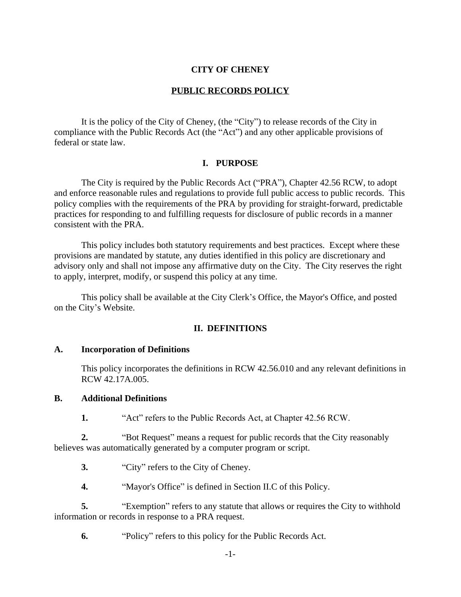#### **CITY OF CHENEY**

#### **PUBLIC RECORDS POLICY**

It is the policy of the City of Cheney, (the "City") to release records of the City in compliance with the Public Records Act (the "Act") and any other applicable provisions of federal or state law.

#### **I. PURPOSE**

The City is required by the Public Records Act ("PRA"), Chapter 42.56 RCW, to adopt and enforce reasonable rules and regulations to provide full public access to public records. This policy complies with the requirements of the PRA by providing for straight-forward, predictable practices for responding to and fulfilling requests for disclosure of public records in a manner consistent with the PRA.

This policy includes both statutory requirements and best practices. Except where these provisions are mandated by statute, any duties identified in this policy are discretionary and advisory only and shall not impose any affirmative duty on the City. The City reserves the right to apply, interpret, modify, or suspend this policy at any time.

This policy shall be available at the City Clerk's Office, the Mayor's Office, and posted on the City's Website.

#### **II. DEFINITIONS**

#### **A. Incorporation of Definitions**

This policy incorporates the definitions in RCW 42.56.010 and any relevant definitions in RCW 42.17A.005.

#### **B. Additional Definitions**

**1.** "Act" refers to the Public Records Act, at Chapter 42.56 RCW.

**2.** "Bot Request" means a request for public records that the City reasonably believes was automatically generated by a computer program or script.

**3.** "City" refers to the City of Cheney.

**4.** "Mayor's Office" is defined in Section II[.C](#page-1-0) of this Policy.

**5.** "Exemption" refers to any statute that allows or requires the City to withhold information or records in response to a PRA request.

**6.** "Policy" refers to this policy for the Public Records Act.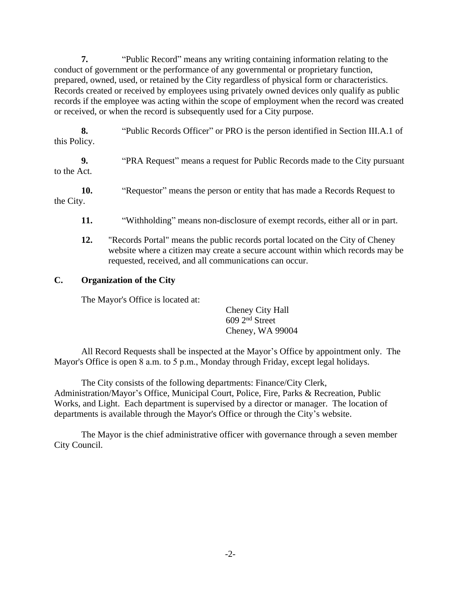**7.** "Public Record" means any writing containing information relating to the conduct of government or the performance of any governmental or proprietary function, prepared, owned, used, or retained by the City regardless of physical form or characteristics. Records created or received by employees using privately owned devices only qualify as public records if the employee was acting within the scope of employment when the record was created or received, or when the record is subsequently used for a City purpose.

**8.** "Public Records Officer" or PRO is the person identified in Section [III.A.1](#page-2-0) of this Policy.

**9.** "PRA Request" means a request for Public Records made to the City pursuant to the Act.

**10.** "Requestor" means the person or entity that has made a Records Request to the City.

- **11.** "Withholding" means non-disclosure of exempt records, either all or in part.
- **12.** "Records Portal" means the public records portal located on the City of Cheney website where a citizen may create a secure account within which records may be requested, received, and all communications can occur.

## **C. Organization of the City**

<span id="page-1-0"></span>The Mayor's Office is located at:

Cheney City Hall 609 2nd Street Cheney, WA 99004

All Record Requests shall be inspected at the Mayor's Office by appointment only. The Mayor's Office is open 8 a.m. to 5 p.m., Monday through Friday, except legal holidays.

The City consists of the following departments: Finance/City Clerk, Administration/Mayor's Office, Municipal Court, Police, Fire, Parks & Recreation, Public Works, and Light. Each department is supervised by a director or manager. The location of departments is available through the Mayor's Office or through the City's website.

The Mayor is the chief administrative officer with governance through a seven member City Council.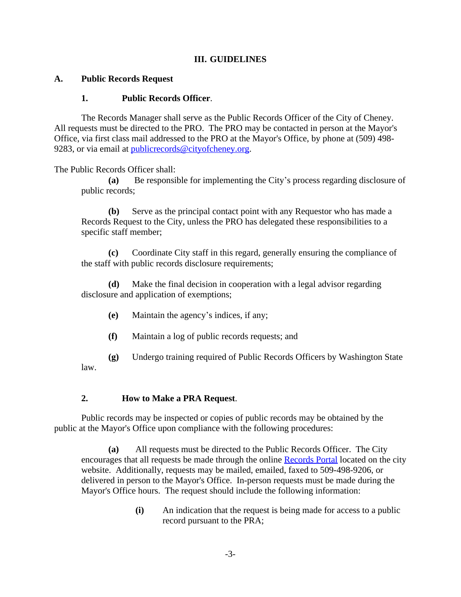### **III. GUIDELINES**

### **A. Public Records Request**

#### <span id="page-2-0"></span>**1. Public Records Officer**.

The Records Manager shall serve as the Public Records Officer of the City of Cheney. All requests must be directed to the PRO. The PRO may be contacted in person at the Mayor's Office, via first class mail addressed to the PRO at the Mayor's Office, by phone at (509) 498 9283, or via email at [publicrecords@cityofcheney.org](mailto:publicrecords@cityofcheney.org).

The Public Records Officer shall:

**(a)** Be responsible for implementing the City's process regarding disclosure of public records;

**(b)** Serve as the principal contact point with any Requestor who has made a Records Request to the City, unless the PRO has delegated these responsibilities to a specific staff member;

**(c)** Coordinate City staff in this regard, generally ensuring the compliance of the staff with public records disclosure requirements;

Make the final decision in cooperation with a legal advisor regarding disclosure and application of exemptions;

- **(e)** Maintain the agency's indices, if any;
- **(f)** Maintain a log of public records requests; and

**(g)** Undergo training required of Public Records Officers by Washington State law.

### **2. How to Make a PRA Request**.

Public records may be inspected or copies of public records may be obtained by the public at the Mayor's Office upon compliance with the following procedures:

**(a)** All requests must be directed to the Public Records Officer. The City encourages that all requests be made through the online [Records Portal located on the city](https://cheneywa.govqa.us/WEBAPP/_rs/(S(zdyw4ofcev4teqwmj3jr3z2e))/supporthome.aspx) [website.](https://cheneywa.govqa.us/WEBAPP/_rs/(S(zdyw4ofcev4teqwmj3jr3z2e))/supporthome.aspx) [Additionally, requests may be mailed, emailed, faxed to 509-498-9206, or](https://cheneywa.govqa.us/WEBAPP/_rs/(S(zdyw4ofcev4teqwmj3jr3z2e))/supporthome.aspx)  [delivered in person to the Mayor's Office. In-person requests must be made during the](https://cheneywa.govqa.us/WEBAPP/_rs/(S(zdyw4ofcev4teqwmj3jr3z2e))/supporthome.aspx)  [Mayor's Office hours. The request should include the following information:](https://cheneywa.govqa.us/WEBAPP/_rs/(S(zdyw4ofcev4teqwmj3jr3z2e))/supporthome.aspx)

> **(i)** [An indication that the request is being made for access to a public](https://cheneywa.govqa.us/WEBAPP/_rs/(S(zdyw4ofcev4teqwmj3jr3z2e))/supporthome.aspx)  [record pursuant to the PRA;](https://cheneywa.govqa.us/WEBAPP/_rs/(S(zdyw4ofcev4teqwmj3jr3z2e))/supporthome.aspx)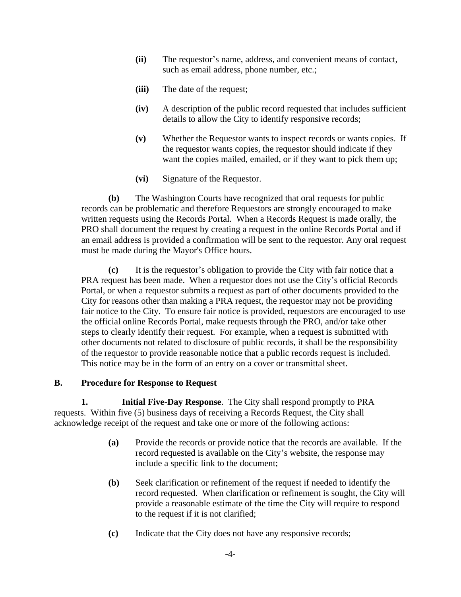- **(ii)** The requestor's name, address, and convenient means of contact, such as email address, phone number, etc.;
- **(iii)** The date of the request;
- **(iv)** A description of the public record requested that includes sufficient details to allow the City to identify responsive records;
- **(v)** Whether the Requestor wants to inspect records or wants copies. If the requestor wants copies, the requestor should indicate if they want the copies mailed, emailed, or if they want to pick them up;
- **(vi)** Signature of the Requestor.

**(b)** The Washington Courts have recognized that oral requests for public records can be problematic and therefore Requestors are strongly encouraged to make written requests using the Records Portal. When a Records Request is made orally, the PRO shall document the request by creating a request in the online Records Portal and if an email address is provided a confirmation will be sent to the requestor. Any oral request must be made during the Mayor's Office hours.

**(c)** It is the requestor's obligation to provide the City with fair notice that a PRA request has been made. When a requestor does not use the City's official Records Portal, or when a requestor submits a request as part of other documents provided to the City for reasons other than making a PRA request, the requestor may not be providing fair notice to the City. To ensure fair notice is provided, requestors are encouraged to use the official online Records Portal, make requests through the PRO, and/or take other steps to clearly identify their request. For example, when a request is submitted with other documents not related to disclosure of public records, it shall be the responsibility of the requestor to provide reasonable notice that a public records request is included. This notice may be in the form of an entry on a cover or transmittal sheet.

#### **B. Procedure for Response to Request**

**1. Initial Five-Day Response**. The City shall respond promptly to PRA requests. Within five (5) business days of receiving a Records Request, the City shall acknowledge receipt of the request and take one or more of the following actions:

- **(a)** Provide the records or provide notice that the records are available. If the record requested is available on the City's website, the response may include a specific link to the document;
- **(b)** Seek clarification or refinement of the request if needed to identify the record requested. When clarification or refinement is sought, the City will provide a reasonable estimate of the time the City will require to respond to the request if it is not clarified;
- **(c)** Indicate that the City does not have any responsive records;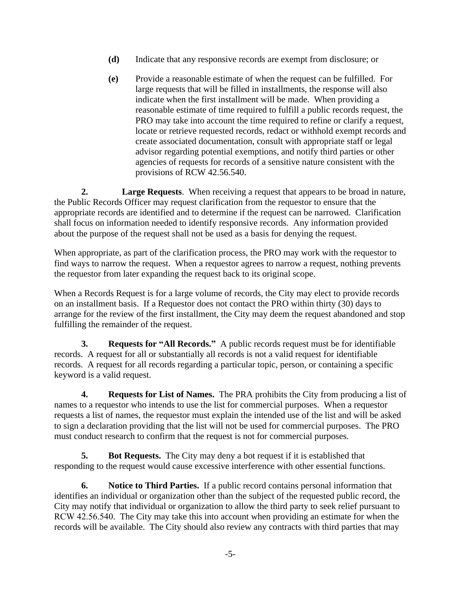- **(d)** Indicate that any responsive records are exempt from disclosure; or
- **(e)** Provide a reasonable estimate of when the request can be fulfilled. For large requests that will be filled in installments, the response will also indicate when the first installment will be made. When providing a reasonable estimate of time required to fulfill a public records request, the PRO may take into account the time required to refine or clarify a request, locate or retrieve requested records, redact or withhold exempt records and create associated documentation, consult with appropriate staff or legal advisor regarding potential exemptions, and notify third parties or other agencies of requests for records of a sensitive nature consistent with the provisions of RCW 42.56.540.

**2. Large Requests**. When receiving a request that appears to be broad in nature, the Public Records Officer may request clarification from the requestor to ensure that the appropriate records are identified and to determine if the request can be narrowed. Clarification shall focus on information needed to identify responsive records. Any information provided about the purpose of the request shall not be used as a basis for denying the request.

When appropriate, as part of the clarification process, the PRO may work with the requestor to find ways to narrow the request. When a requestor agrees to narrow a request, nothing prevents the requestor from later expanding the request back to its original scope.

When a Records Request is for a large volume of records, the City may elect to provide records on an installment basis. If a Requestor does not contact the PRO within thirty (30) days to arrange for the review of the first installment, the City may deem the request abandoned and stop fulfilling the remainder of the request.

**3. Requests for "All Records."** A public records request must be for identifiable records. A request for all or substantially all records is not a valid request for identifiable records. A request for all records regarding a particular topic, person, or containing a specific keyword is a valid request.

**4. Requests for List of Names.** The PRA prohibits the City from producing a list of names to a requestor who intends to use the list for commercial purposes. When a requestor requests a list of names, the requestor must explain the intended use of the list and will be asked to sign a declaration providing that the list will not be used for commercial purposes. The PRO must conduct research to confirm that the request is not for commercial purposes.

**5. Bot Requests.** The City may deny a bot request if it is established that responding to the request would cause excessive interference with other essential functions.

**6. Notice to Third Parties.** If a public record contains personal information that identifies an individual or organization other than the subject of the requested public record, the City may notify that individual or organization to allow the third party to seek relief pursuant to RCW 42.56.540. The City may take this into account when providing an estimate for when the records will be available. The City should also review any contracts with third parties that may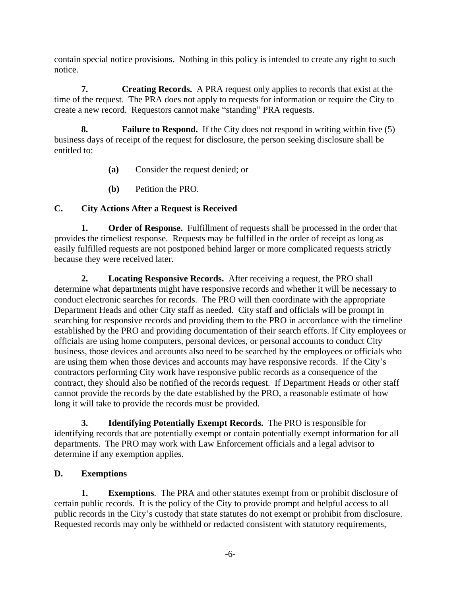contain special notice provisions. Nothing in this policy is intended to create any right to such notice.

**7. Creating Records.** A PRA request only applies to records that exist at the time of the request. The PRA does not apply to requests for information or require the City to create a new record. Requestors cannot make "standing" PRA requests.

**8. Failure to Respond.** If the City does not respond in writing within five (5) business days of receipt of the request for disclosure, the person seeking disclosure shall be entitled to:

- **(a)** Consider the request denied; or
- **(b)** Petition the PRO.

# **C. City Actions After a Request is Received**

**1. Order of Response.** Fulfillment of requests shall be processed in the order that provides the timeliest response. Requests may be fulfilled in the order of receipt as long as easily fulfilled requests are not postponed behind larger or more complicated requests strictly because they were received later.

**2. Locating Responsive Records.** After receiving a request, the PRO shall determine what departments might have responsive records and whether it will be necessary to conduct electronic searches for records. The PRO will then coordinate with the appropriate Department Heads and other City staff as needed. City staff and officials will be prompt in searching for responsive records and providing them to the PRO in accordance with the timeline established by the PRO and providing documentation of their search efforts. If City employees or officials are using home computers, personal devices, or personal accounts to conduct City business, those devices and accounts also need to be searched by the employees or officials who are using them when those devices and accounts may have responsive records. If the City's contractors performing City work have responsive public records as a consequence of the contract, they should also be notified of the records request. If Department Heads or other staff cannot provide the records by the date established by the PRO, a reasonable estimate of how long it will take to provide the records must be provided.

**3. Identifying Potentially Exempt Records.** The PRO is responsible for identifying records that are potentially exempt or contain potentially exempt information for all departments. The PRO may work with Law Enforcement officials and a legal advisor to determine if any exemption applies.

# **D. Exemptions**

**1. Exemptions**. The PRA and other statutes exempt from or prohibit disclosure of certain public records. It is the policy of the City to provide prompt and helpful access to all public records in the City's custody that state statutes do not exempt or prohibit from disclosure. Requested records may only be withheld or redacted consistent with statutory requirements,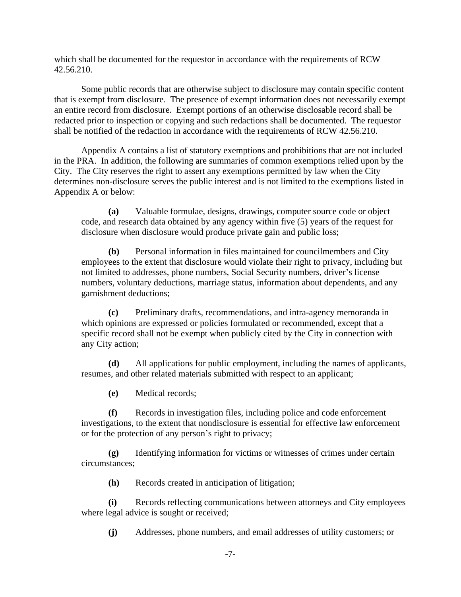which shall be documented for the requestor in accordance with the requirements of RCW 42.56.210.

Some public records that are otherwise subject to disclosure may contain specific content that is exempt from disclosure. The presence of exempt information does not necessarily exempt an entire record from disclosure. Exempt portions of an otherwise disclosable record shall be redacted prior to inspection or copying and such redactions shall be documented. The requestor shall be notified of the redaction in accordance with the requirements of RCW 42.56.210.

Appendix A contains a list of statutory exemptions and prohibitions that are not included in the PRA. In addition, the following are summaries of common exemptions relied upon by the City. The City reserves the right to assert any exemptions permitted by law when the City determines non-disclosure serves the public interest and is not limited to the exemptions listed in Appendix A or below:

**(a)** Valuable formulae, designs, drawings, computer source code or object code, and research data obtained by any agency within five (5) years of the request for disclosure when disclosure would produce private gain and public loss;

**(b)** Personal information in files maintained for councilmembers and City employees to the extent that disclosure would violate their right to privacy, including but not limited to addresses, phone numbers, Social Security numbers, driver's license numbers, voluntary deductions, marriage status, information about dependents, and any garnishment deductions;

**(c)** Preliminary drafts, recommendations, and intra-agency memoranda in which opinions are expressed or policies formulated or recommended, except that a specific record shall not be exempt when publicly cited by the City in connection with any City action;

**(d)** All applications for public employment, including the names of applicants, resumes, and other related materials submitted with respect to an applicant;

**(e)** Medical records;

**(f)** Records in investigation files, including police and code enforcement investigations, to the extent that nondisclosure is essential for effective law enforcement or for the protection of any person's right to privacy;

**(g)** Identifying information for victims or witnesses of crimes under certain circumstances;

**(h)** Records created in anticipation of litigation;

**(i)** Records reflecting communications between attorneys and City employees where legal advice is sought or received;

**(j)** Addresses, phone numbers, and email addresses of utility customers; or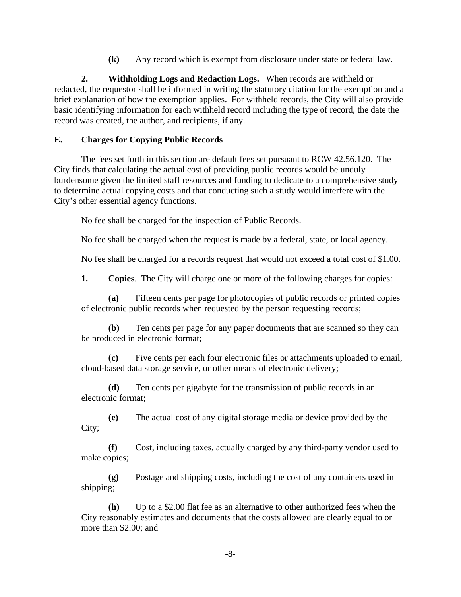**(k)** Any record which is exempt from disclosure under state or federal law.

**2. Withholding Logs and Redaction Logs.** When records are withheld or redacted, the requestor shall be informed in writing the statutory citation for the exemption and a brief explanation of how the exemption applies. For withheld records, the City will also provide basic identifying information for each withheld record including the type of record, the date the record was created, the author, and recipients, if any.

## **E. Charges for Copying Public Records**

The fees set forth in this section are default fees set pursuant to RCW 42.56.120. The City finds that calculating the actual cost of providing public records would be unduly burdensome given the limited staff resources and funding to dedicate to a comprehensive study to determine actual copying costs and that conducting such a study would interfere with the City's other essential agency functions.

No fee shall be charged for the inspection of Public Records.

No fee shall be charged when the request is made by a federal, state, or local agency.

No fee shall be charged for a records request that would not exceed a total cost of \$1.00.

**1. Copies**. The City will charge one or more of the following charges for copies:

**(a)** Fifteen cents per page for photocopies of public records or printed copies of electronic public records when requested by the person requesting records;

**(b)** Ten cents per page for any paper documents that are scanned so they can be produced in electronic format;

**(c)** Five cents per each four electronic files or attachments uploaded to email, cloud-based data storage service, or other means of electronic delivery;

**(d)** Ten cents per gigabyte for the transmission of public records in an electronic format;

**(e)** The actual cost of any digital storage media or device provided by the City;

**(f)** Cost, including taxes, actually charged by any third-party vendor used to make copies;

**(g)** Postage and shipping costs, including the cost of any containers used in shipping;

**(h)** Up to a \$2.00 flat fee as an alternative to other authorized fees when the City reasonably estimates and documents that the costs allowed are clearly equal to or more than \$2.00; and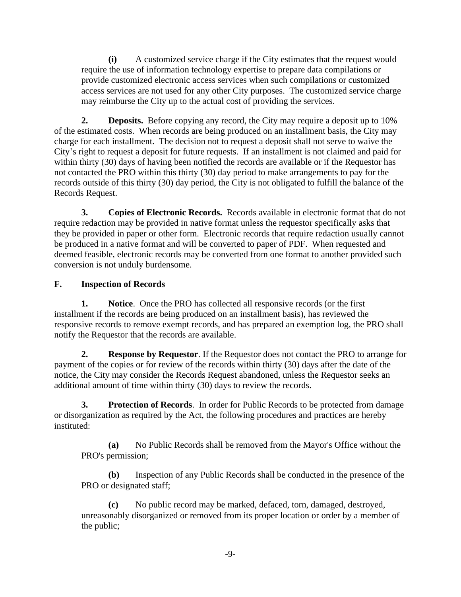**(i)** A customized service charge if the City estimates that the request would require the use of information technology expertise to prepare data compilations or provide customized electronic access services when such compilations or customized access services are not used for any other City purposes. The customized service charge may reimburse the City up to the actual cost of providing the services.

**2. Deposits.** Before copying any record, the City may require a deposit up to 10% of the estimated costs. When records are being produced on an installment basis, the City may charge for each installment. The decision not to request a deposit shall not serve to waive the City's right to request a deposit for future requests. If an installment is not claimed and paid for within thirty (30) days of having been notified the records are available or if the Requestor has not contacted the PRO within this thirty (30) day period to make arrangements to pay for the records outside of this thirty (30) day period, the City is not obligated to fulfill the balance of the Records Request.

**3. Copies of Electronic Records.** Records available in electronic format that do not require redaction may be provided in native format unless the requestor specifically asks that they be provided in paper or other form. Electronic records that require redaction usually cannot be produced in a native format and will be converted to paper of PDF. When requested and deemed feasible, electronic records may be converted from one format to another provided such conversion is not unduly burdensome.

## **F. Inspection of Records**

**1. Notice**. Once the PRO has collected all responsive records (or the first installment if the records are being produced on an installment basis), has reviewed the responsive records to remove exempt records, and has prepared an exemption log, the PRO shall notify the Requestor that the records are available.

**2. Response by Requestor**. If the Requestor does not contact the PRO to arrange for payment of the copies or for review of the records within thirty (30) days after the date of the notice, the City may consider the Records Request abandoned, unless the Requestor seeks an additional amount of time within thirty (30) days to review the records.

**3. Protection of Records**. In order for Public Records to be protected from damage or disorganization as required by the Act, the following procedures and practices are hereby instituted:

**(a)** No Public Records shall be removed from the Mayor's Office without the PRO's permission;

**(b)** Inspection of any Public Records shall be conducted in the presence of the PRO or designated staff;

**(c)** No public record may be marked, defaced, torn, damaged, destroyed, unreasonably disorganized or removed from its proper location or order by a member of the public;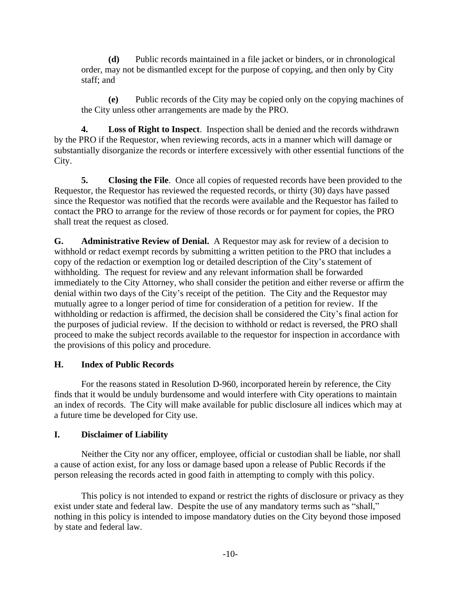**(d)** Public records maintained in a file jacket or binders, or in chronological order, may not be dismantled except for the purpose of copying, and then only by City staff; and

**(e)** Public records of the City may be copied only on the copying machines of the City unless other arrangements are made by the PRO.

**4. Loss of Right to Inspect**. Inspection shall be denied and the records withdrawn by the PRO if the Requestor, when reviewing records, acts in a manner which will damage or substantially disorganize the records or interfere excessively with other essential functions of the City.

**5. Closing the File**. Once all copies of requested records have been provided to the Requestor, the Requestor has reviewed the requested records, or thirty (30) days have passed since the Requestor was notified that the records were available and the Requestor has failed to contact the PRO to arrange for the review of those records or for payment for copies, the PRO shall treat the request as closed.

**G. Administrative Review of Denial.** A Requestor may ask for review of a decision to withhold or redact exempt records by submitting a written petition to the PRO that includes a copy of the redaction or exemption log or detailed description of the City's statement of withholding. The request for review and any relevant information shall be forwarded immediately to the City Attorney, who shall consider the petition and either reverse or affirm the denial within two days of the City's receipt of the petition. The City and the Requestor may mutually agree to a longer period of time for consideration of a petition for review. If the withholding or redaction is affirmed, the decision shall be considered the City's final action for the purposes of judicial review. If the decision to withhold or redact is reversed, the PRO shall proceed to make the subject records available to the requestor for inspection in accordance with the provisions of this policy and procedure.

## **H. Index of Public Records**

For the reasons stated in Resolution D-960, incorporated herein by reference, the City finds that it would be unduly burdensome and would interfere with City operations to maintain an index of records. The City will make available for public disclosure all indices which may at a future time be developed for City use.

## **I. Disclaimer of Liability**

Neither the City nor any officer, employee, official or custodian shall be liable, nor shall a cause of action exist, for any loss or damage based upon a release of Public Records if the person releasing the records acted in good faith in attempting to comply with this policy.

This policy is not intended to expand or restrict the rights of disclosure or privacy as they exist under state and federal law. Despite the use of any mandatory terms such as "shall," nothing in this policy is intended to impose mandatory duties on the City beyond those imposed by state and federal law.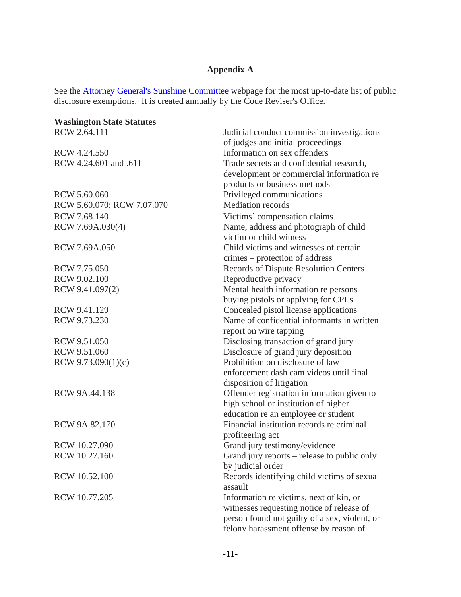# **Appendix A**

See the **Attorney General's Sunshine Committee** webpage for the most up-to-date list of public disclosure exemptions. It is created annually by the Code Reviser's Office.

| <b>Washington State Statutes</b> |                                               |
|----------------------------------|-----------------------------------------------|
| RCW 2.64.111                     | Judicial conduct commission investigations    |
|                                  | of judges and initial proceedings             |
| RCW 4.24.550                     | Information on sex offenders                  |
| RCW 4.24.601 and .611            | Trade secrets and confidential research,      |
|                                  | development or commercial information re      |
|                                  | products or business methods                  |
| RCW 5.60.060                     | Privileged communications                     |
| RCW 5.60.070; RCW 7.07.070       | <b>Mediation</b> records                      |
| RCW 7.68.140                     | Victims' compensation claims                  |
| RCW 7.69A.030(4)                 | Name, address and photograph of child         |
|                                  | victim or child witness                       |
| RCW 7.69A.050                    | Child victims and witnesses of certain        |
|                                  | crimes – protection of address                |
| RCW 7.75.050                     | <b>Records of Dispute Resolution Centers</b>  |
| RCW 9.02.100                     | Reproductive privacy                          |
| RCW 9.41.097(2)                  | Mental health information re persons          |
|                                  | buying pistols or applying for CPLs           |
| RCW 9.41.129                     | Concealed pistol license applications         |
| RCW 9.73.230                     | Name of confidential informants in written    |
|                                  | report on wire tapping                        |
| RCW 9.51.050                     | Disclosing transaction of grand jury          |
| RCW 9.51.060                     | Disclosure of grand jury deposition           |
| RCW $9.73.090(1)(c)$             | Prohibition on disclosure of law              |
|                                  | enforcement dash cam videos until final       |
|                                  | disposition of litigation                     |
| RCW 9A.44.138                    | Offender registration information given to    |
|                                  | high school or institution of higher          |
|                                  | education re an employee or student           |
| RCW 9A.82.170                    | Financial institution records re criminal     |
|                                  | profiteering act                              |
| RCW 10.27.090                    | Grand jury testimony/evidence                 |
| RCW 10.27.160                    | Grand jury reports – release to public only   |
|                                  | by judicial order                             |
| RCW 10.52.100                    | Records identifying child victims of sexual   |
|                                  | assault                                       |
| RCW 10.77.205                    | Information re victims, next of kin, or       |
|                                  | witnesses requesting notice of release of     |
|                                  | person found not guilty of a sex, violent, or |
|                                  | felony harassment offense by reason of        |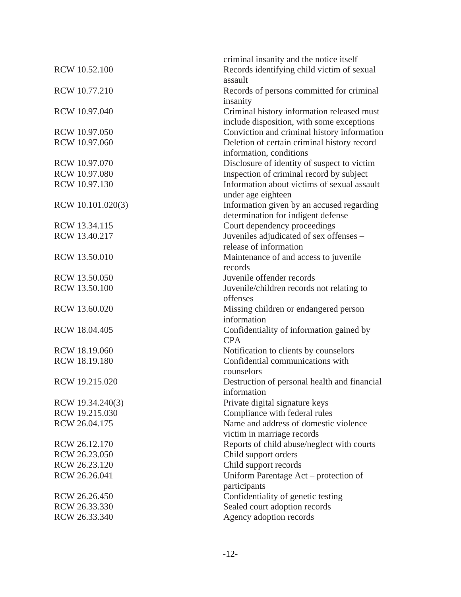|                   | criminal insanity and the notice itself      |
|-------------------|----------------------------------------------|
| RCW 10.52.100     | Records identifying child victim of sexual   |
|                   | assault                                      |
| RCW 10.77.210     | Records of persons committed for criminal    |
|                   | insanity                                     |
| RCW 10.97.040     | Criminal history information released must   |
|                   | include disposition, with some exceptions    |
| RCW 10.97.050     |                                              |
|                   | Conviction and criminal history information  |
| RCW 10.97.060     | Deletion of certain criminal history record  |
|                   | information, conditions                      |
| RCW 10.97.070     | Disclosure of identity of suspect to victim  |
| RCW 10.97.080     | Inspection of criminal record by subject     |
| RCW 10.97.130     | Information about victims of sexual assault  |
|                   | under age eighteen                           |
| RCW 10.101.020(3) | Information given by an accused regarding    |
|                   | determination for indigent defense           |
| RCW 13.34.115     | Court dependency proceedings                 |
| RCW 13.40.217     | Juveniles adjudicated of sex offenses -      |
|                   | release of information                       |
| RCW 13.50.010     | Maintenance of and access to juvenile        |
|                   | records                                      |
| RCW 13.50.050     | Juvenile offender records                    |
| RCW 13.50.100     | Juvenile/children records not relating to    |
|                   | offenses                                     |
| RCW 13.60.020     | Missing children or endangered person        |
|                   | information                                  |
| RCW 18.04.405     | Confidentiality of information gained by     |
|                   | <b>CPA</b>                                   |
| RCW 18.19.060     | Notification to clients by counselors        |
| RCW 18.19.180     | Confidential communications with             |
|                   | counselors                                   |
| RCW 19.215.020    | Destruction of personal health and financial |
|                   | information                                  |
| RCW 19.34.240(3)  | Private digital signature keys               |
| RCW 19.215.030    | Compliance with federal rules                |
| RCW 26.04.175     | Name and address of domestic violence        |
|                   | victim in marriage records                   |
| RCW 26.12.170     | Reports of child abuse/neglect with courts   |
| RCW 26.23.050     | Child support orders                         |
| RCW 26.23.120     | Child support records                        |
| RCW 26.26.041     | Uniform Parentage Act – protection of        |
|                   | participants                                 |
| RCW 26.26.450     | Confidentiality of genetic testing           |
| RCW 26.33.330     | Sealed court adoption records                |
| RCW 26.33.340     | Agency adoption records                      |
|                   |                                              |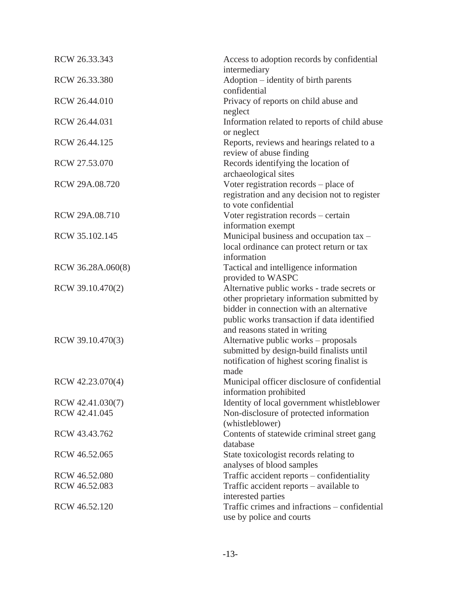| RCW 26.33.343     | Access to adoption records by confidential<br>intermediary                                                                                                                                                            |
|-------------------|-----------------------------------------------------------------------------------------------------------------------------------------------------------------------------------------------------------------------|
| RCW 26.33.380     | Adoption - identity of birth parents<br>confidential                                                                                                                                                                  |
| RCW 26.44.010     | Privacy of reports on child abuse and                                                                                                                                                                                 |
| RCW 26.44.031     | neglect<br>Information related to reports of child abuse                                                                                                                                                              |
| RCW 26.44.125     | or neglect<br>Reports, reviews and hearings related to a<br>review of abuse finding                                                                                                                                   |
| RCW 27.53.070     | Records identifying the location of<br>archaeological sites                                                                                                                                                           |
| RCW 29A.08.720    | Voter registration records – place of<br>registration and any decision not to register<br>to vote confidential                                                                                                        |
| RCW 29A.08.710    | Voter registration records – certain<br>information exempt                                                                                                                                                            |
| RCW 35.102.145    | Municipal business and occupation tax -<br>local ordinance can protect return or tax<br>information                                                                                                                   |
| RCW 36.28A.060(8) | Tactical and intelligence information<br>provided to WASPC                                                                                                                                                            |
| RCW 39.10.470(2)  | Alternative public works - trade secrets or<br>other proprietary information submitted by<br>bidder in connection with an alternative<br>public works transaction if data identified<br>and reasons stated in writing |
| RCW 39.10.470(3)  | Alternative public works - proposals<br>submitted by design-build finalists until<br>notification of highest scoring finalist is<br>made                                                                              |
| RCW 42.23.070(4)  | Municipal officer disclosure of confidential<br>information prohibited                                                                                                                                                |
| RCW 42.41.030(7)  | Identity of local government whistleblower                                                                                                                                                                            |
| RCW 42.41.045     | Non-disclosure of protected information<br>(whistleblower)                                                                                                                                                            |
| RCW 43.43.762     | Contents of statewide criminal street gang<br>database                                                                                                                                                                |
| RCW 46.52.065     | State toxicologist records relating to<br>analyses of blood samples                                                                                                                                                   |
| RCW 46.52.080     | Traffic accident reports – confidentiality                                                                                                                                                                            |
| RCW 46.52.083     | Traffic accident reports – available to<br>interested parties                                                                                                                                                         |
| RCW 46.52.120     | Traffic crimes and infractions - confidential<br>use by police and courts                                                                                                                                             |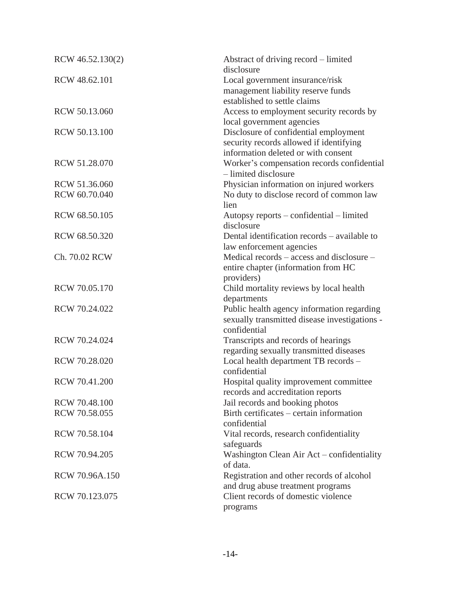| RCW 46.52.130(2) | Abstract of driving record – limited<br>disclosure                                                                      |
|------------------|-------------------------------------------------------------------------------------------------------------------------|
| RCW 48.62.101    | Local government insurance/risk<br>management liability reserve funds<br>established to settle claims                   |
| RCW 50.13.060    | Access to employment security records by<br>local government agencies                                                   |
| RCW 50.13.100    | Disclosure of confidential employment<br>security records allowed if identifying<br>information deleted or with consent |
| RCW 51.28.070    | Worker's compensation records confidential<br>- limited disclosure                                                      |
| RCW 51.36.060    | Physician information on injured workers                                                                                |
| RCW 60.70.040    | No duty to disclose record of common law<br>lien                                                                        |
| RCW 68.50.105    | Autopsy reports – confidential – limited<br>disclosure                                                                  |
| RCW 68.50.320    | Dental identification records – available to<br>law enforcement agencies                                                |
| Ch. 70.02 RCW    | Medical records – access and disclosure –<br>entire chapter (information from HC<br>providers)                          |
| RCW 70.05.170    | Child mortality reviews by local health<br>departments                                                                  |
| RCW 70.24.022    | Public health agency information regarding<br>sexually transmitted disease investigations -<br>confidential             |
| RCW 70.24.024    | Transcripts and records of hearings<br>regarding sexually transmitted diseases                                          |
| RCW 70.28.020    | Local health department TB records -<br>confidential                                                                    |
| RCW 70.41.200    | Hospital quality improvement committee<br>records and accreditation reports                                             |
| RCW 70.48.100    | Jail records and booking photos                                                                                         |
| RCW 70.58.055    | Birth certificates – certain information<br>confidential                                                                |
| RCW 70.58.104    | Vital records, research confidentiality<br>safeguards                                                                   |
| RCW 70.94.205    | Washington Clean Air Act - confidentiality<br>of data.                                                                  |
| RCW 70.96A.150   | Registration and other records of alcohol<br>and drug abuse treatment programs                                          |
| RCW 70.123.075   | Client records of domestic violence<br>programs                                                                         |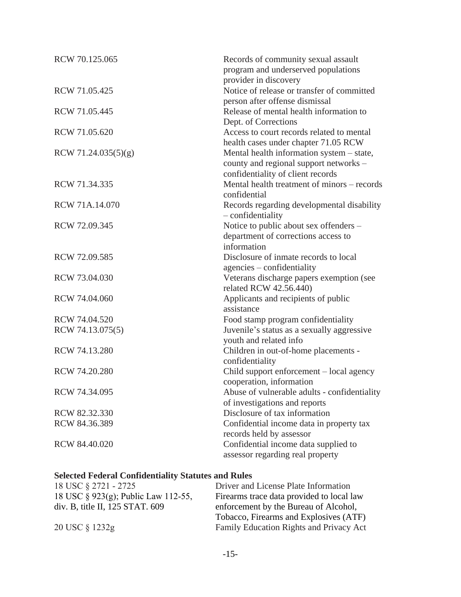| RCW 70.125.065      | Records of community sexual assault<br>program and underserved populations   |
|---------------------|------------------------------------------------------------------------------|
|                     | provider in discovery                                                        |
| RCW 71.05.425       | Notice of release or transfer of committed<br>person after offense dismissal |
| RCW 71.05.445       | Release of mental health information to                                      |
|                     | Dept. of Corrections                                                         |
| RCW 71.05.620       | Access to court records related to mental                                    |
|                     | health cases under chapter 71.05 RCW                                         |
| RCW 71.24.035(5)(g) | Mental health information system - state,                                    |
|                     | county and regional support networks -                                       |
|                     | confidentiality of client records                                            |
| RCW 71.34.335       | Mental health treatment of minors – records                                  |
|                     | confidential                                                                 |
| RCW 71A.14.070      | Records regarding developmental disability                                   |
|                     | $-$ confidentiality                                                          |
| RCW 72.09.345       | Notice to public about sex offenders -                                       |
|                     | department of corrections access to                                          |
|                     | information                                                                  |
| RCW 72.09.585       | Disclosure of inmate records to local                                        |
|                     | agencies – confidentiality                                                   |
| RCW 73.04.030       | Veterans discharge papers exemption (see                                     |
|                     | related RCW 42.56.440)                                                       |
| RCW 74.04.060       | Applicants and recipients of public                                          |
|                     | assistance                                                                   |
| RCW 74.04.520       | Food stamp program confidentiality                                           |
| RCW 74.13.075(5)    | Juvenile's status as a sexually aggressive                                   |
|                     | youth and related info                                                       |
| RCW 74.13.280       | Children in out-of-home placements -                                         |
|                     | confidentiality                                                              |
| RCW 74.20.280       | Child support enforcement – local agency                                     |
|                     | cooperation, information                                                     |
| RCW 74.34.095       | Abuse of vulnerable adults - confidentiality                                 |
|                     | of investigations and reports                                                |
| RCW 82.32.330       | Disclosure of tax information                                                |
| RCW 84.36.389       | Confidential income data in property tax                                     |
|                     | records held by assessor                                                     |
| RCW 84.40.020       | Confidential income data supplied to                                         |
|                     | assessor regarding real property                                             |

# **Selected Federal Confidentiality Statutes and Rules**

| Driver and License Plate Information      |
|-------------------------------------------|
| Firearms trace data provided to local law |
| enforcement by the Bureau of Alcohol,     |
| Tobacco, Firearms and Explosives (ATF)    |
| Family Education Rights and Privacy Act   |
|                                           |